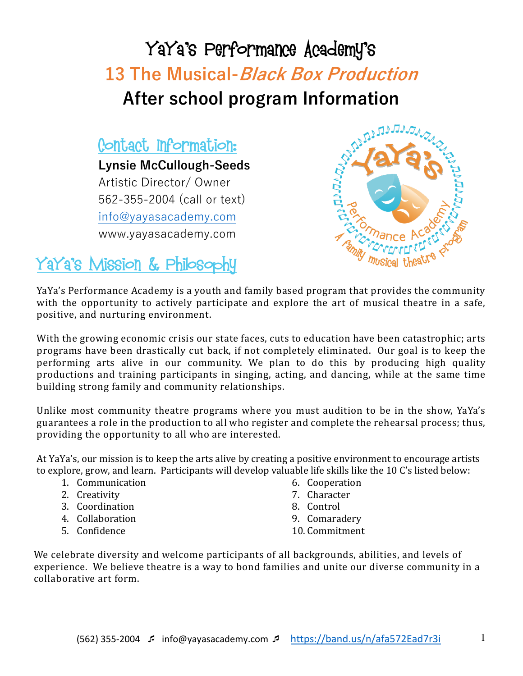# YaYa's Performance Academy's **13 The Musical-Black Box Production After school program Information**

## Contact Information:

**Lynsie McCullough-Seeds** Artistic Director/ Owner 562-355-2004 (call or text) info@yayasacademy.com www.yayasacademy.com



## YaYa's Mission & Philosophy

YaYa's Performance Academy is a youth and family based program that provides the community with the opportunity to actively participate and explore the art of musical theatre in a safe, positive, and nurturing environment.

With the growing economic crisis our state faces, cuts to education have been catastrophic; arts programs have been drastically cut back, if not completely eliminated. Our goal is to keep the performing arts alive in our community. We plan to do this by producing high quality productions and training participants in singing, acting, and dancing, while at the same time building strong family and community relationships.

Unlike most community theatre programs where you must audition to be in the show, YaYa's guarantees a role in the production to all who register and complete the rehearsal process; thus, providing the opportunity to all who are interested.

At YaYa's, our mission is to keep the arts alive by creating a positive environment to encourage artists to explore, grow, and learn. Participants will develop valuable life skills like the 10 C's listed below:

- 1. Communication
- 2. Creativity
- 3. Coordination
- 4. Collaboration
- 5. Confidence
- 6. Cooperation
- 7. Character
- 8. Control
- 9. Comaradery
- 10. Commitment

We celebrate diversity and welcome participants of all backgrounds, abilities, and levels of experience. We believe theatre is a way to bond families and unite our diverse community in a collaborative art form.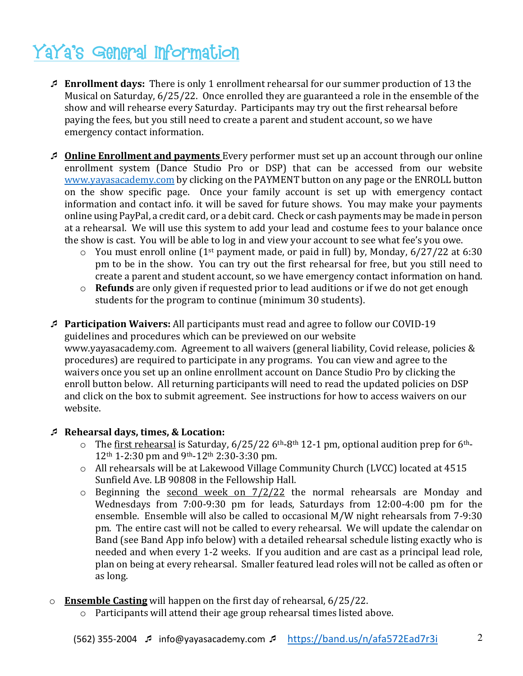## YaYa's General Information

- ¯ **Enrollment days:** There is only 1 enrollment rehearsal for our summer production of 13 the Musical on Saturday, 6/25/22. Once enrolled they are guaranteed a role in the ensemble of the show and will rehearse every Saturday. Participants may try out the first rehearsal before paying the fees, but you still need to create a parent and student account, so we have emergency contact information.
- **Dolline Enrollment and payments** Every performer must set up an account through our online enrollment system (Dance Studio Pro or DSP) that can be accessed from our website www.yayasacademy.com by clicking on the PAYMENT button on any page or the ENROLL button on the show specific page. Once your family account is set up with emergency contact information and contact info. it will be saved for future shows. You may make your payments online using PayPal, a credit card, or a debit card. Check or cash payments may be made in person at a rehearsal. We will use this system to add your lead and costume fees to your balance once the show is cast. You will be able to log in and view your account to see what fee's you owe.
	- $\circ$  You must enroll online (1<sup>st</sup> payment made, or paid in full) by, Monday, 6/27/22 at 6:30 pm to be in the show. You can try out the first rehearsal for free, but you still need to create a parent and student account, so we have emergency contact information on hand.
	- o **Refunds** are only given if requested prior to lead auditions or if we do not get enough students for the program to continue (minimum 30 students).
- ¯ **Participation Waivers:** All participants must read and agree to follow our COVID-19 guidelines and procedures which can be previewed on our website www.yayasacademy.com. Agreement to all waivers (general liability, Covid release, policies  $&$ procedures) are required to participate in any programs. You can view and agree to the waivers once you set up an online enrollment account on Dance Studio Pro by clicking the enroll button below. All returning participants will need to read the updated policies on DSP and click on the box to submit agreement. See instructions for how to access waivers on our website.

#### ¯ **Rehearsal days, times, & Location:**

- $\circ$  The first rehearsal is Saturday, 6/25/22 6<sup>th</sup>-8<sup>th</sup> 12-1 pm, optional audition prep for 6<sup>th</sup>- $12<sup>th</sup> 1-2:30$  pm and 9<sup>th</sup>-12<sup>th</sup> 2:30-3:30 pm.
- $\circ$  All rehearsals will be at Lakewood Village Community Church (LVCC) located at 4515 Sunfield Ave. LB 90808 in the Fellowship Hall.
- $\circ$  Beginning the second week on  $7/2/22$  the normal rehearsals are Monday and Wednesdays from 7:00-9:30 pm for leads, Saturdays from 12:00-4:00 pm for the ensemble. Ensemble will also be called to occasional M/W night rehearsals from  $7-9:30$ pm. The entire cast will not be called to every rehearsal. We will update the calendar on Band (see Band App info below) with a detailed rehearsal schedule listing exactly who is needed and when every 1-2 weeks. If you audition and are cast as a principal lead role, plan on being at every rehearsal. Smaller featured lead roles will not be called as often or as long.
- o **Ensemble Casting** will happen on the first day of rehearsal, 6/25/22.
	- $\circ$  Participants will attend their age group rehearsal times listed above.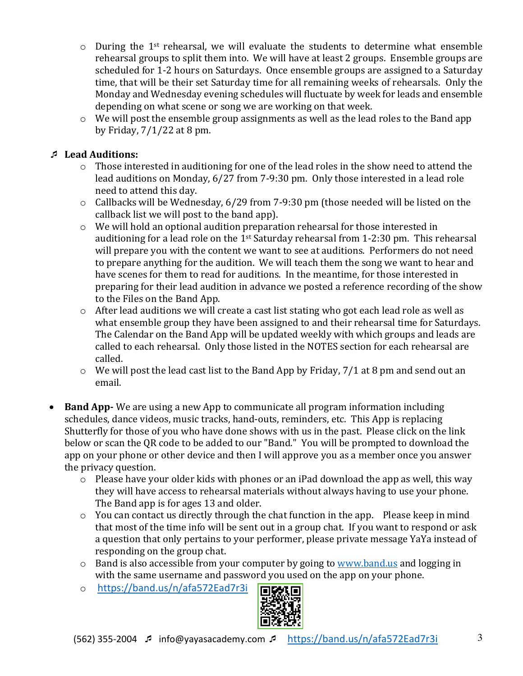- $\circ$  During the 1<sup>st</sup> rehearsal, we will evaluate the students to determine what ensemble rehearsal groups to split them into. We will have at least 2 groups. Ensemble groups are scheduled for 1-2 hours on Saturdays. Once ensemble groups are assigned to a Saturday time, that will be their set Saturday time for all remaining weeks of rehearsals. Only the Monday and Wednesday evening schedules will fluctuate by week for leads and ensemble depending on what scene or song we are working on that week.
- $\circ$  We will post the ensemble group assignments as well as the lead roles to the Band app by Friday,  $7/1/22$  at 8 pm.

#### ¯ **Lead Auditions:**

- $\circ$  Those interested in auditioning for one of the lead roles in the show need to attend the lead auditions on Monday, 6/27 from 7-9:30 pm. Only those interested in a lead role need to attend this day.
- $\circ$  Callbacks will be Wednesday, 6/29 from 7-9:30 pm (those needed will be listed on the callback list we will post to the band app).
- $\circ$  We will hold an optional audition preparation rehearsal for those interested in auditioning for a lead role on the  $1^{st}$  Saturday rehearsal from 1-2:30 pm. This rehearsal will prepare you with the content we want to see at auditions. Performers do not need to prepare anything for the audition. We will teach them the song we want to hear and have scenes for them to read for auditions. In the meantime, for those interested in preparing for their lead audition in advance we posted a reference recording of the show to the Files on the Band App.
- $\circ$  After lead auditions we will create a cast list stating who got each lead role as well as what ensemble group they have been assigned to and their rehearsal time for Saturdays. The Calendar on the Band App will be updated weekly with which groups and leads are called to each rehearsal. Only those listed in the NOTES section for each rehearsal are called.
- $\circ$  We will post the lead cast list to the Band App by Friday, 7/1 at 8 pm and send out an email.
- **Band App-** We are using a new App to communicate all program information including schedules, dance videos, music tracks, hand-outs, reminders, etc. This App is replacing Shutterfly for those of you who have done shows with us in the past. Please click on the link below or scan the QR code to be added to our "Band." You will be prompted to download the app on your phone or other device and then I will approve you as a member once you answer the privacy question.
	- $\circ$  Please have your older kids with phones or an iPad download the app as well, this way they will have access to rehearsal materials without always having to use your phone. The Band app is for ages 13 and older.
	- $\circ$  You can contact us directly through the chat function in the app. Please keep in mind that most of the time info will be sent out in a group chat. If you want to respond or ask a question that only pertains to your performer, please private message YaYa instead of responding on the group chat.
	- $\circ$  Band is also accessible from your computer by going to www.band.us and logging in with the same username and password you used on the app on your phone.
	- o https://band.us/n/afa572Ead7r3i

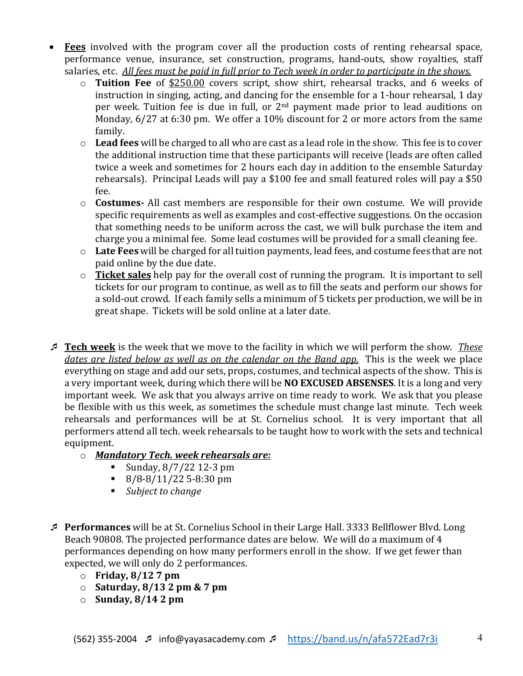- **Fees** involved with the program cover all the production costs of renting rehearsal space, performance venue, insurance, set construction, programs, hand-outs, show royalties, staff salaries, etc. All fees must be paid in full prior to Tech week in order to participate in the shows.
	- o **Tuition Fee** of \$250.00 covers script, show shirt, rehearsal tracks, and 6 weeks of instruction in singing, acting, and dancing for the ensemble for a 1-hour rehearsal, 1 day per week. Tuition fee is due in full, or 2<sup>nd</sup> payment made prior to lead auditions on Monday,  $6/27$  at  $6:30$  pm. We offer a 10% discount for 2 or more actors from the same family.
	- o Lead fees will be charged to all who are cast as a lead role in the show. This fee is to cover the additional instruction time that these participants will receive (leads are often called twice a week and sometimes for 2 hours each day in addition to the ensemble Saturday rehearsals). Principal Leads will pay a \$100 fee and small featured roles will pay a \$50 fee.
	- o **Costumes-** All cast members are responsible for their own costume. We will provide specific requirements as well as examples and cost-effective suggestions. On the occasion that something needs to be uniform across the cast, we will bulk purchase the item and charge you a minimal fee. Some lead costumes will be provided for a small cleaning fee.
	- o Late Fees will be charged for all tuition payments, lead fees, and costume fees that are not paid online by the due date.
	- o **Ticket sales** help pay for the overall cost of running the program. It is important to sell tickets for our program to continue, as well as to fill the seats and perform our shows for a sold-out crowd. If each family sells a minimum of 5 tickets per production, we will be in great shape. Tickets will be sold online at a later date.
- **<u>■ Tech week</u>** is the week that we move to the facility in which we will perform the show. These *dates* are listed below as well as on the calendar on the Band app. This is the week we place everything on stage and add our sets, props, costumes, and technical aspects of the show. This is a very important week, during which there will be **NO EXCUSED ABSENSES**. It is a long and very important week. We ask that you always arrive on time ready to work. We ask that you please be flexible with us this week, as sometimes the schedule must change last minute. Tech week rehearsals and performances will be at St. Cornelius school. It is very important that all performers attend all tech. week rehearsals to be taught how to work with the sets and technical equipment.
	- o *Mandatory Tech. week rehearsals are:*
		- Sunday,  $8/7/22$  12-3 pm
		- $\bullet$  8/8-8/11/22 5-8:30 pm
		- *Subject to change*
- ¯ **Performances** will be at St. Cornelius School in their Large Hall. 3333 Bellflower Blvd. Long Beach 90808. The projected performance dates are below. We will do a maximum of 4 performances depending on how many performers enroll in the show. If we get fewer than expected, we will only do 2 performances.
	- o **Friday, 8/12 7 pm**
	- $\circ$  **Saturday, 8/13 2 pm & 7 pm**
	- o **Sunday, 8/14 2 pm**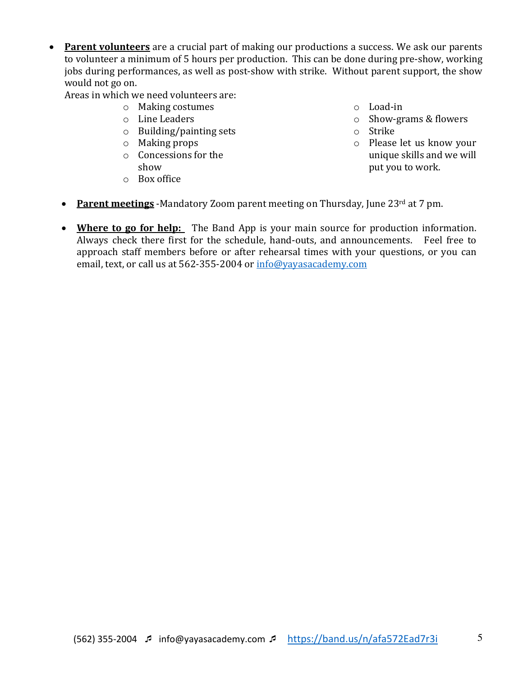• Parent volunteers are a crucial part of making our productions a success. We ask our parents to volunteer a minimum of 5 hours per production. This can be done during pre-show, working jobs during performances, as well as post-show with strike. Without parent support, the show would not go on.

Areas in which we need volunteers are:

- $\circ$  Making costumes
- o Line Leaders
- $\circ$  Building/painting sets
- $\circ$  Making props
- $\circ$  Concessions for the show
- o Box office

o Load-in

- $\circ$  Show-grams & flowers
- o Strike
- o Please let us know your unique skills and we will put you to work.
- **Parent meetings** -Mandatory Zoom parent meeting on Thursday, June 23<sup>rd</sup> at 7 pm.
- Where to go for help: The Band App is your main source for production information. Always check there first for the schedule, hand-outs, and announcements. Feel free to approach staff members before or after rehearsal times with your questions, or you can email, text, or call us at 562-355-2004 or info@yayasacademy.com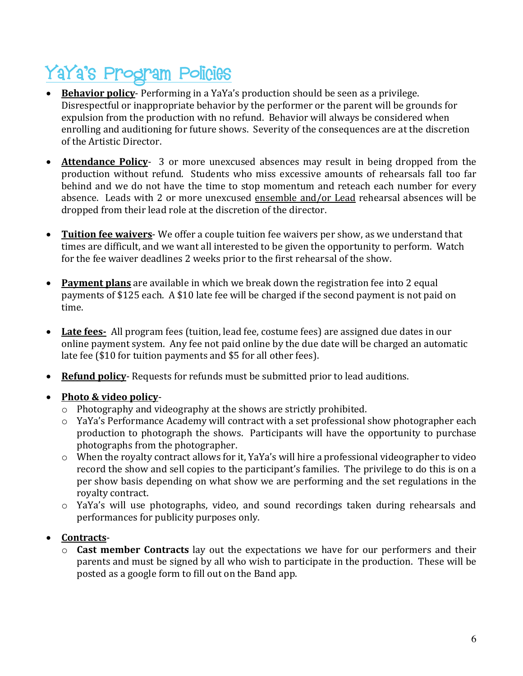# YaYa's Program Policies

- Behavior policy- Performing in a YaYa's production should be seen as a privilege. Disrespectful or inappropriate behavior by the performer or the parent will be grounds for expulsion from the production with no refund. Behavior will always be considered when enrolling and auditioning for future shows. Severity of the consequences are at the discretion of the Artistic Director.
- **Attendance Policy** 3 or more unexcused absences may result in being dropped from the production without refund. Students who miss excessive amounts of rehearsals fall too far behind and we do not have the time to stop momentum and reteach each number for every absence. Leads with 2 or more unexcused ensemble and/or Lead rehearsal absences will be dropped from their lead role at the discretion of the director.
- Tuition fee waivers- We offer a couple tuition fee waivers per show, as we understand that times are difficult, and we want all interested to be given the opportunity to perform. Watch for the fee waiver deadlines 2 weeks prior to the first rehearsal of the show.
- Payment plans are available in which we break down the registration fee into 2 equal payments of \$125 each. A \$10 late fee will be charged if the second payment is not paid on time.
- Late fees- All program fees (tuition, lead fee, costume fees) are assigned due dates in our online payment system. Any fee not paid online by the due date will be charged an automatic late fee (\$10 for tuition payments and \$5 for all other fees).
- **Refund policy** Requests for refunds must be submitted prior to lead auditions.

#### • **Photo & video policy-**

- $\circ$  Photography and videography at the shows are strictly prohibited.
- $\circ$  YaYa's Performance Academy will contract with a set professional show photographer each production to photograph the shows. Participants will have the opportunity to purchase photographs from the photographer.
- $\circ$  When the royalty contract allows for it, YaYa's will hire a professional videographer to video record the show and sell copies to the participant's families. The privilege to do this is on a per show basis depending on what show we are performing and the set regulations in the royalty contract.
- $\circ$  YaYa's will use photographs, video, and sound recordings taken during rehearsals and performances for publicity purposes only.

#### • **Contracts**-

 $\circ$  **Cast member Contracts** lay out the expectations we have for our performers and their parents and must be signed by all who wish to participate in the production. These will be posted as a google form to fill out on the Band app.